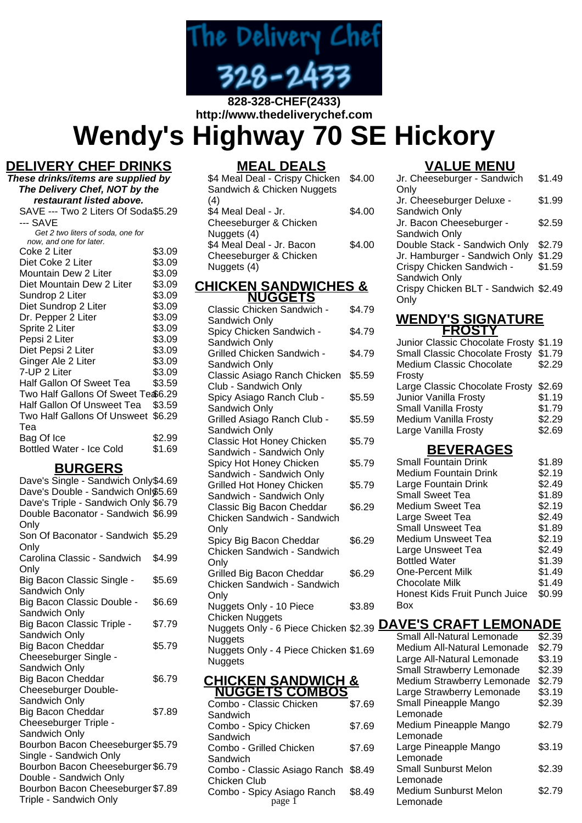

#### **828-328-CHEF(2433) http://www.thedeliverychef.com**

**Wendy's Highway 70 SE Hickory**

# **DELIVERY CHEF DRINKS**

| These drinks/items are supplied by  |        |  |
|-------------------------------------|--------|--|
| The Delivery Chef, NOT by the       |        |  |
| restaurant listed above.            |        |  |
| SAVE --- Two 2 Liters Of Soda\$5.29 |        |  |
| --- SAVE                            |        |  |
| Get 2 two liters of soda, one for   |        |  |
| now, and one for later.             |        |  |
| Coke 2 Liter                        | \$3.09 |  |
| Diet Coke 2 Liter                   | \$3.09 |  |
| Mountain Dew 2 Liter                | \$3.09 |  |
| Diet Mountain Dew 2 Liter           | \$3.09 |  |
| Sundrop 2 Liter                     | \$3.09 |  |
| Diet Sundrop 2 Liter                | \$3.09 |  |
| Dr. Pepper 2 Liter                  | \$3.09 |  |
| Sprite 2 Liter                      | \$3.09 |  |
| Pepsi 2 Liter                       | \$3.09 |  |
| Diet Pepsi 2 Liter                  | \$3.09 |  |
| Ginger Ale 2 Liter                  | \$3.09 |  |
| 7-UP 2 Liter                        | \$3.09 |  |
| Half Gallon Of Sweet Tea            | \$3.59 |  |
| Two Half Gallons Of Sweet Te \$6.29 |        |  |
| Half Gallon Of Unsweet Tea          | \$3.59 |  |
| Two Half Gallons Of Unsweet         | \$6.29 |  |
| Теа                                 |        |  |
| Bag Of Ice                          | \$2.99 |  |
| <b>Bottled Water - Ice Cold</b>     | \$1.69 |  |
|                                     |        |  |

## **BURGERS**

| Dave's Single - Sandwich Only\$4.69  |        |
|--------------------------------------|--------|
| Dave's Double - Sandwich Onl\$5.69   |        |
| Dave's Triple - Sandwich Only \$6.79 |        |
| Double Baconator - Sandwich \$6.99   |        |
| Only                                 |        |
| Son Of Baconator - Sandwich \$5.29   |        |
| Only                                 |        |
| Carolina Classic - Sandwich          | \$4.99 |
| Only                                 |        |
| Big Bacon Classic Single -           | \$5.69 |
| Sandwich Only                        |        |
| Big Bacon Classic Double -           | \$6.69 |
| Sandwich Only                        |        |
| Big Bacon Classic Triple -           | \$7.79 |
| Sandwich Only                        |        |
| Big Bacon Cheddar                    | \$5.79 |
| Cheeseburger Single -                |        |
| Sandwich Only                        |        |
| Big Bacon Cheddar                    | \$6.79 |
| Cheeseburger Double-                 |        |
| Sandwich Only                        |        |
| <b>Big Bacon Cheddar</b>             | \$7.89 |
| Cheeseburger Triple -                |        |
| Sandwich Only                        |        |
| Bourbon Bacon Cheeseburger \$5.79    |        |
| Single - Sandwich Only               |        |
| Bourbon Bacon Cheeseburger \$6.79    |        |
| Double - Sandwich Only               |        |
| Bourbon Bacon Cheeseburger \$7.89    |        |
| Triple - Sandwich Only               |        |

# **MEAL DEALS**

| \$4 Meal Deal - Crispy Chicken<br>Sandwich & Chicken Nuggets | \$4.00 |
|--------------------------------------------------------------|--------|
| (4)                                                          |        |
| \$4 Meal Deal - Jr.<br>Cheeseburger & Chicken                | \$4.00 |
| Nuggets (4)                                                  |        |
| \$4 Meal Deal - Jr. Bacon                                    | \$4.00 |
| Cheeseburger & Chicken<br>Nuggets (4)                        |        |
|                                                              |        |

#### **CHICKEN SANDWICHES & NUGGETS**

| Classic Chicken Sandwich -<br>Sandwich Only              | \$4.79 |
|----------------------------------------------------------|--------|
| Spicy Chicken Sandwich -                                 | \$4.79 |
| Sandwich Only<br><b>Grilled Chicken Sandwich -</b>       | \$4.79 |
| Sandwich Only<br>Classic Asiago Ranch Chicken            | \$5.59 |
| Club - Sandwich Only<br>Spicy Asiago Ranch Club -        | \$5.59 |
| Sandwich Only<br>Grilled Asiago Ranch Club -             | \$5.59 |
| Sandwich Only<br>Classic Hot Honey Chicken               | \$5.79 |
| Sandwich - Sandwich Only                                 |        |
| Spicy Hot Honey Chicken<br>Sandwich - Sandwich Only      | \$5.79 |
| Grilled Hot Honey Chicken<br>Sandwich - Sandwich Only    | \$5.79 |
| Classic Big Bacon Cheddar<br>Chicken Sandwich - Sandwich | \$6.29 |
| Only<br>Spicy Big Bacon Cheddar                          | \$6.29 |
| Chicken Sandwich - Sandwich<br>Only                      |        |
| Grilled Big Bacon Cheddar<br>Chicken Sandwich - Sandwich | \$6.29 |
| Only                                                     |        |
| Nuggets Only - 10 Piece<br><b>Chicken Nuggets</b>        | \$3.89 |
| Nuggets Only - 6 Piece Chicken \$2.39<br>Nuggets         |        |
| Nuggets Only - 4 Piece Chicken \$1.69<br><b>Nuggets</b>  |        |
| <u>CHICKEN SANDWICH &amp;</u>                            |        |

| <b>NUGGETS COMBOS</b>                |        |
|--------------------------------------|--------|
| Combo - Classic Chicken              | \$7.69 |
| Sandwich                             |        |
| Combo - Spicy Chicken                | \$7.69 |
| Sandwich                             |        |
| Combo - Grilled Chicken              | \$7.69 |
| Sandwich                             |        |
| Combo - Classic Asiago Ranch \$8.49  |        |
| Chicken Club                         |        |
| Combo - Spicy Asiago Ranch<br>page 1 | \$8.49 |
|                                      |        |

# **VALUE MENU**

| Jr. Cheeseburger - Sandwich          | \$1.49 |
|--------------------------------------|--------|
| Only                                 |        |
| Jr. Cheeseburger Deluxe -            | \$1.99 |
| Sandwich Only                        |        |
| Jr. Bacon Cheeseburger -             | \$2.59 |
| Sandwich Only                        |        |
| Double Stack - Sandwich Only         | \$2.79 |
| Jr. Hamburger - Sandwich Only        | \$1.29 |
| Crispy Chicken Sandwich -            | \$1.59 |
| Sandwich Only                        |        |
| Crispy Chicken BLT - Sandwich \$2.49 |        |
| Only                                 |        |
|                                      |        |

#### **WENDY'S SIGNATURE FROSTY**

| Junior Classic Chocolate Frosty \$1.19 |        |
|----------------------------------------|--------|
| Small Classic Chocolate Frosty         | \$1.79 |
| Medium Classic Chocolate               | \$2.29 |
| Frosty                                 |        |
| Large Classic Chocolate Frosty         | \$2.69 |
| Junior Vanilla Frosty                  | \$1.19 |
| Small Vanilla Frosty                   | \$1.79 |
| Medium Vanilla Frosty                  | \$2.29 |
| Large Vanilla Frosty                   | \$2.69 |
|                                        |        |

#### **BEVERAGES**

| <b>Small Fountain Drink</b>   | \$1.89 |
|-------------------------------|--------|
| <b>Medium Fountain Drink</b>  | \$2.19 |
| Large Fountain Drink          | \$2.49 |
| <b>Small Sweet Tea</b>        | \$1.89 |
| Medium Sweet Tea              | \$2.19 |
| Large Sweet Tea               | \$2.49 |
| <b>Small Unsweet Tea</b>      | \$1.89 |
| <b>Medium Unsweet Tea</b>     | \$2.19 |
| Large Unsweet Tea             | \$2.49 |
| <b>Bottled Water</b>          | \$1.39 |
| <b>One-Percent Milk</b>       | \$1.49 |
| <b>Chocolate Milk</b>         | \$1.49 |
| Honest Kids Fruit Punch Juice | \$0.99 |
| Box                           |        |

## **DAVE'S CRAFT LEMONADE**

| Small All-Natural Lemonade   | \$2.39 |
|------------------------------|--------|
| Medium All-Natural Lemonade  | \$2.79 |
| Large All-Natural Lemonade   | \$3.19 |
| Small Strawberry Lemonade    | \$2.39 |
| Medium Strawberry Lemonade   | \$2.79 |
| Large Strawberry Lemonade    | \$3.19 |
| Small Pineapple Mango        | \$2.39 |
| Lemonade                     |        |
| Medium Pineapple Mango       | \$2.79 |
| Lemonade                     |        |
| Large Pineapple Mango        | \$3.19 |
| Lemonade                     |        |
| <b>Small Sunburst Melon</b>  | \$2.39 |
| Lemonade                     |        |
| <b>Medium Sunburst Melon</b> | \$2.79 |
| Lemonade                     |        |
|                              |        |